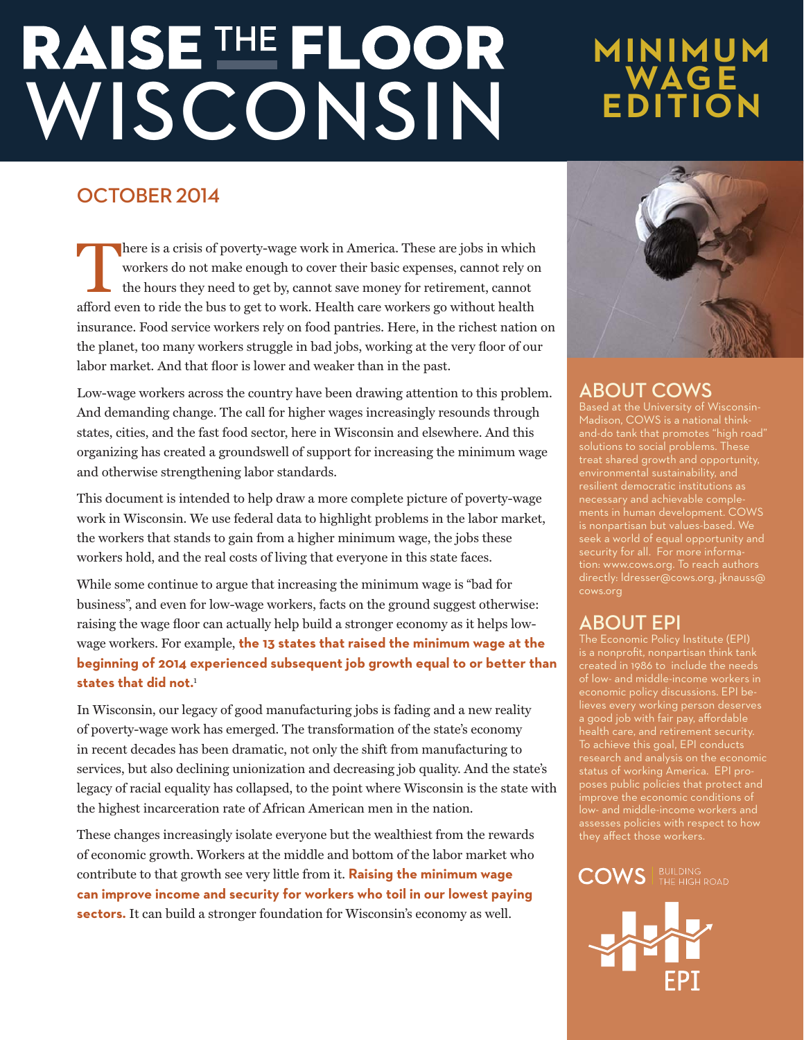# RAISE THE FLOOR

# **MINIMUM WAGE EDITION**

# **OCTOBER 2014**

There is a crisis of poverty-wage work in America. These are jobs in which<br>workers do not make enough to cover their basic expenses, cannot rely on<br>the hours they need to get by, cannot save money for retirement, cannot<br>af workers do not make enough to cover their basic expenses, cannot rely on the hours they need to get by, cannot save money for retirement, cannot afford even to ride the bus to get to work. Health care workers go without health insurance. Food service workers rely on food pantries. Here, in the richest nation on the planet, too many workers struggle in bad jobs, working at the very floor of our labor market. And that floor is lower and weaker than in the past.

Low-wage workers across the country have been drawing attention to this problem. And demanding change. The call for higher wages increasingly resounds through states, cities, and the fast food sector, here in Wisconsin and elsewhere. And this organizing has created a groundswell of support for increasing the minimum wage and otherwise strengthening labor standards.

This document is intended to help draw a more complete picture of poverty-wage work in Wisconsin. We use federal data to highlight problems in the labor market, the workers that stands to gain from a higher minimum wage, the jobs these workers hold, and the real costs of living that everyone in this state faces.

While some continue to argue that increasing the minimum wage is "bad for business", and even for low-wage workers, facts on the ground suggest otherwise: raising the wage floor can actually help build a stronger economy as it helps lowwage workers. For example, **the 13 states that raised the minimum wage at the beginning of 2014 experienced subsequent job growth equal to or better than states that did not.**<sup>1</sup>

In Wisconsin, our legacy of good manufacturing jobs is fading and a new reality of poverty-wage work has emerged. The transformation of the state's economy in recent decades has been dramatic, not only the shift from manufacturing to services, but also declining unionization and decreasing job quality. And the state's legacy of racial equality has collapsed, to the point where Wisconsin is the state with the highest incarceration rate of African American men in the nation.

These changes increasingly isolate everyone but the wealthiest from the rewards of economic growth. Workers at the middle and bottom of the labor market who contribute to that growth see very little from it. **Raising the minimum wage can improve income and security for workers who toil in our lowest paying sectors.** It can build a stronger foundation for Wisconsin's economy as well.



# **ABOUT COWS**

Madison, COWS is a national thinkand-do tank that promotes "high road" treat shared growth and opportunity, necessary and achievable complements in human development. COWS seek a world of equal opportunity and directly: ldresser@cows.org, jknauss@

# **ABOUT EPI**

is a nonprofit, nonpartisan think tank of low- and middle-income workers in economic policy discussions. EPI believes every working person deserves a good job with fair pay, affordable health care, and retirement security. To achieve this goal, EPI conducts poses public policies that protect and low- and middle-income workers and they affect those workers.

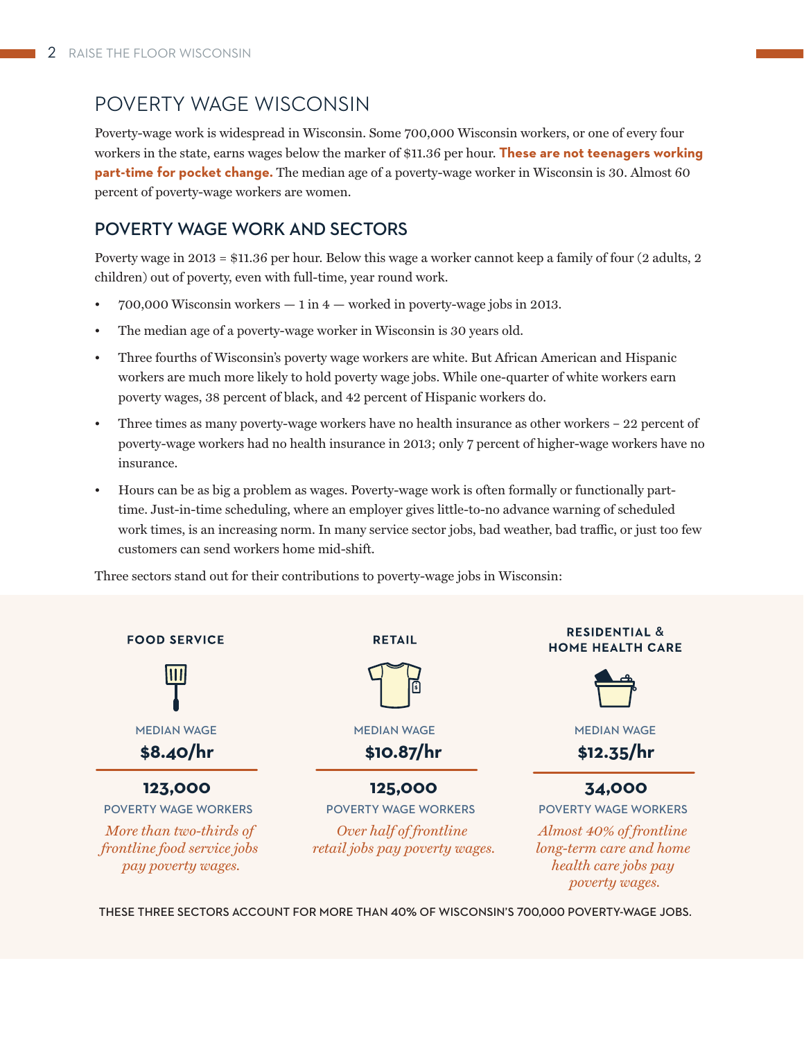# POVERTY WAGE WISCONSIN

Poverty-wage work is widespread in Wisconsin. Some 700,000 Wisconsin workers, or one of every four workers in the state, earns wages below the marker of \$11.36 per hour. **These are not teenagers working part-time for pocket change.** The median age of a poverty-wage worker in Wisconsin is 30. Almost 60 percent of poverty-wage workers are women.

# **POVERTY WAGE WORK AND SECTORS**

Poverty wage in 2013 = \$11.36 per hour. Below this wage a worker cannot keep a family of four (2 adults, 2 children) out of poverty, even with full-time, year round work.

- $700,000$  Wisconsin workers  $-1$  in  $4$  worked in poverty-wage jobs in 2013.
- The median age of a poverty-wage worker in Wisconsin is 30 years old.
- Three fourths of Wisconsin's poverty wage workers are white. But African American and Hispanic workers are much more likely to hold poverty wage jobs. While one-quarter of white workers earn poverty wages, 38 percent of black, and 42 percent of Hispanic workers do.
- Three times as many poverty-wage workers have no health insurance as other workers 22 percent of poverty-wage workers had no health insurance in 2013; only 7 percent of higher-wage workers have no insurance.
- Hours can be as big a problem as wages. Poverty-wage work is often formally or functionally parttime. Just-in-time scheduling, where an employer gives little-to-no advance warning of scheduled work times, is an increasing norm. In many service sector jobs, bad weather, bad traffic, or just too few customers can send workers home mid-shift.

Three sectors stand out for their contributions to poverty-wage jobs in Wisconsin:



THESE THREE SECTORS ACCOUNT FOR MORE THAN 40% OF WISCONSIN'S 700,000 POVERTY-WAGE JOBS.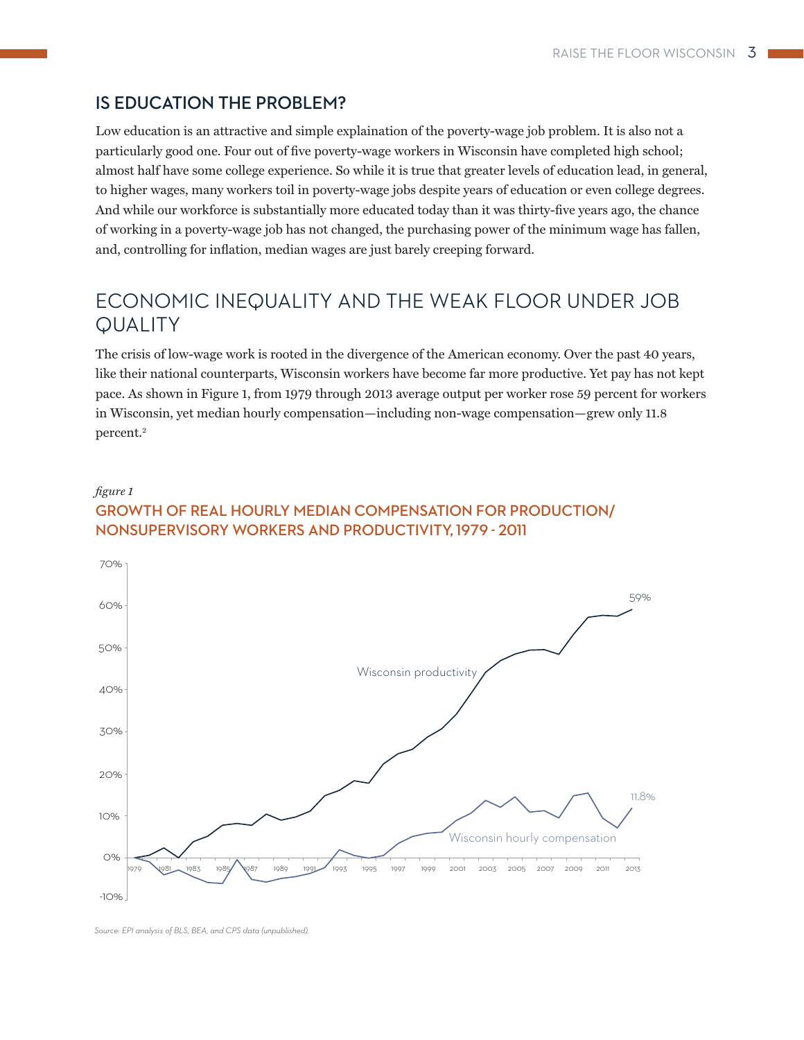# **IS EDUCATION THE PROBLEM?**

Low education is an attractive and simple explaination of the poverty-wage job problem. It is also not a particularly good one. Four out of five poverty-wage workers in Wisconsin have completed high school; almost half have some college experience. So while it is true that greater levels of education lead, in general, to higher wages, many workers toil in poverty-wage jobs despite years of education or even college degrees. And while our workforce is substantially more educated today than it was thirty-five years ago, the chance of working in a poverty-wage job has not changed, the purchasing power of the minimum wage has fallen, and, controlling for inflation, median wages are just barely creeping forward.

# ECONOMIC INEQUALITY AND THE WEAK FLOOR UNDER JOB **QUALITY**

The crisis of low-wage work is rooted in the divergence of the American economy. Over the past 40 years, like their national counterparts, Wisconsin workers have become far more productive. Yet pay has not kept pace. As shown in Figure 1, from 1979 through 2013 average output per worker rose 59 percent for workers in Wisconsin, yet median hourly compensation—including non-wage compensation—grew only 11.8 percent.2

# *fi gure 1* **GROWTH OF REAL HOURLY MEDIAN COMPENSATION FOR PRODUCTION/ NONSUPERVISORY WORKERS AND PRODUCTIVITY, 1979 - 2011**



*Source: EPI analysis of BLS, BEA, and CPS data (unpublished).*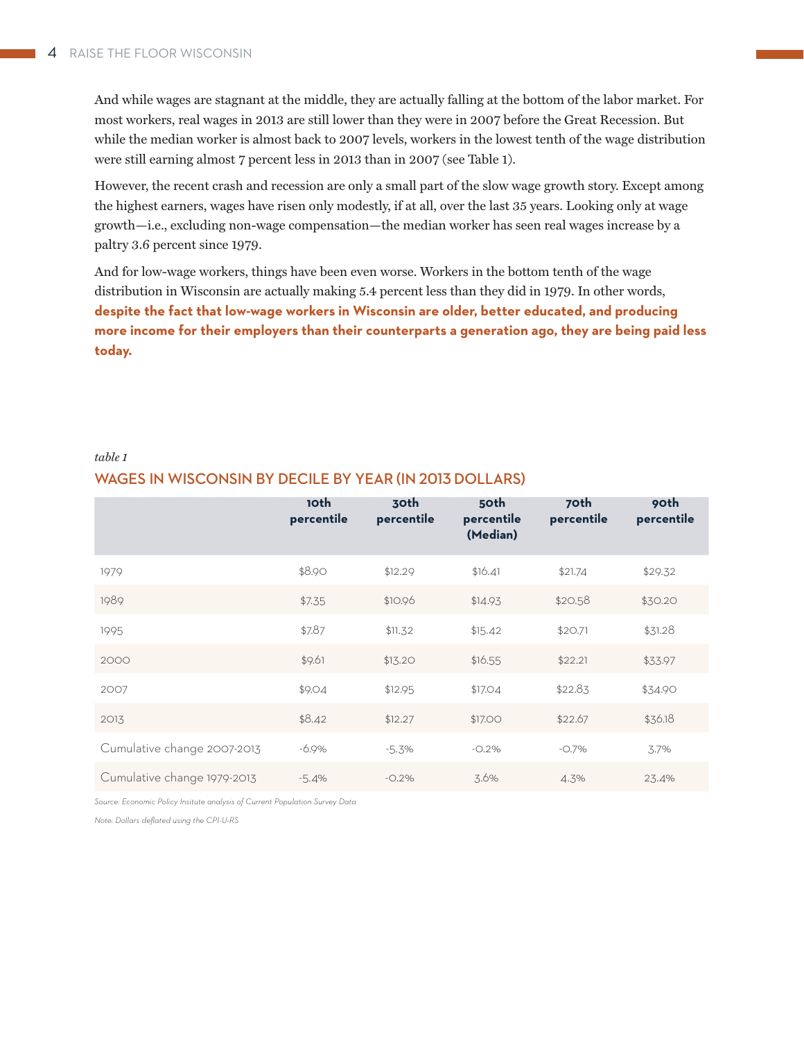And while wages are stagnant at the middle, they are actually falling at the bottom of the labor market. For most workers, real wages in 2013 are still lower than they were in 2007 before the Great Recession. But while the median worker is almost back to 2007 levels, workers in the lowest tenth of the wage distribution were still earning almost 7 percent less in 2013 than in 2007 (see Table 1).

However, the recent crash and recession are only a small part of the slow wage growth story. Except among the highest earners, wages have risen only modestly, if at all, over the last 35 years. Looking only at wage growth—i.e., excluding non-wage compensation—the median worker has seen real wages increase by a paltry 3.6 percent since 1979.

And for low-wage workers, things have been even worse. Workers in the bottom tenth of the wage distribution in Wisconsin are actually making 5.4 percent less than they did in 1979. In other words, **despite the fact that low-wage workers in Wisconsin are older, better educated, and producing more income for their employers than their counterparts a generation ago, they are being paid less today.**

# **10th percentile 30th percentile 50th percentile (Median) 70th percentile 90th percentile** 1979 \$8.90 \$12.29 \$16.41 \$21.74 \$29.32 1989 \$7.35 \$10.96 \$14.93 \$20.58 \$30.20 1995 \$7.87 \$11.32 \$15.42 \$20.71 \$31.28 2000 \$9.61 \$9.61 \$13.20 \$16.55 \$22.21 \$33.97 2007 \$9.04 \$9.04 \$12.95 \$17.04 \$22.83 \$34.90 2013 \$8.42 \$12.27 \$17.00 \$22.67 \$36.18 Cumulative change 2007-2013 -6.9% -5.3% -0.2% -0.7% 3.7% Cumulative change 1979-2013 -5.4% -0.2% 3.6% 4.3% 23.4%

# *table 1*

# **WAGES IN WISCONSIN BY DECILE BY YEAR (IN 2013 DOLLARS)**

*Source: Economic Policy Insitute analysis of Current Population Survey Data*

*Note: Dollars defl ated using the CPI-U-RS*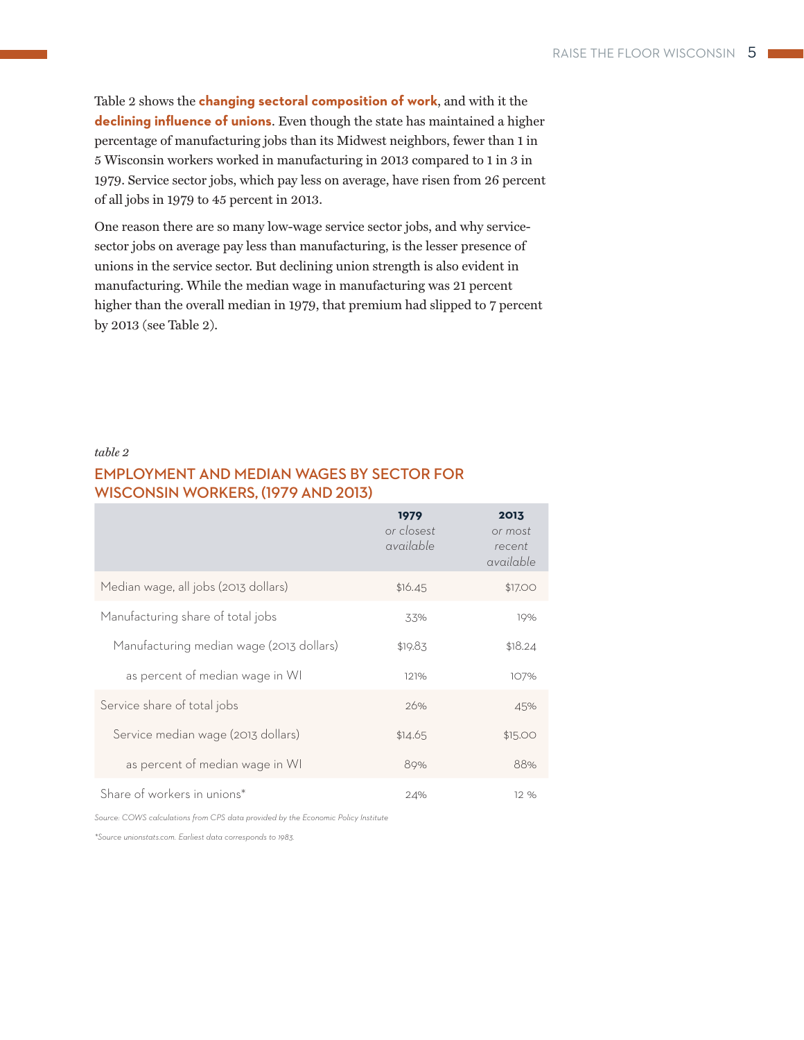Table 2 shows the **changing sectoral composition of work**, and with it the **declining influence of unions**. Even though the state has maintained a higher percentage of manufacturing jobs than its Midwest neighbors, fewer than 1 in 5 Wisconsin workers worked in manufacturing in 2013 compared to 1 in 3 in 1979. Service sector jobs, which pay less on average, have risen from 26 percent of all jobs in 1979 to 45 percent in 2013.

One reason there are so many low-wage service sector jobs, and why servicesector jobs on average pay less than manufacturing, is the lesser presence of unions in the service sector. But declining union strength is also evident in manufacturing. While the median wage in manufacturing was 21 percent higher than the overall median in 1979, that premium had slipped to 7 percent by 2013 (see Table 2).

### *table 2*

# **EMPLOYMENT AND MEDIAN WAGES BY SECTOR FOR WISCONSIN WORKERS, (1979 AND 2013)**

|                                          | 1979<br>or closest<br>available | 2013<br>or most<br>recent<br>available |
|------------------------------------------|---------------------------------|----------------------------------------|
| Median wage, all jobs (2013 dollars)     | \$16.45                         | \$17.00                                |
| Manufacturing share of total jobs        | 33%                             | 19%                                    |
| Manufacturing median wage (2013 dollars) | \$19.83                         | \$18.24                                |
| as percent of median wage in WI          | 121%                            | 107%                                   |
| Service share of total jobs              | 26%                             | 45%                                    |
| Service median wage (2013 dollars)       | \$14.65                         | \$15.00                                |
| as percent of median wage in WI          | 89%                             | 88%                                    |
| Share of workers in unions*              | 24%                             | 12%                                    |

*Source: COWS calculations from CPS data provided by the Economic Policy Institute*

*\*Source unionstats.com. Earliest data corresponds to 1983.*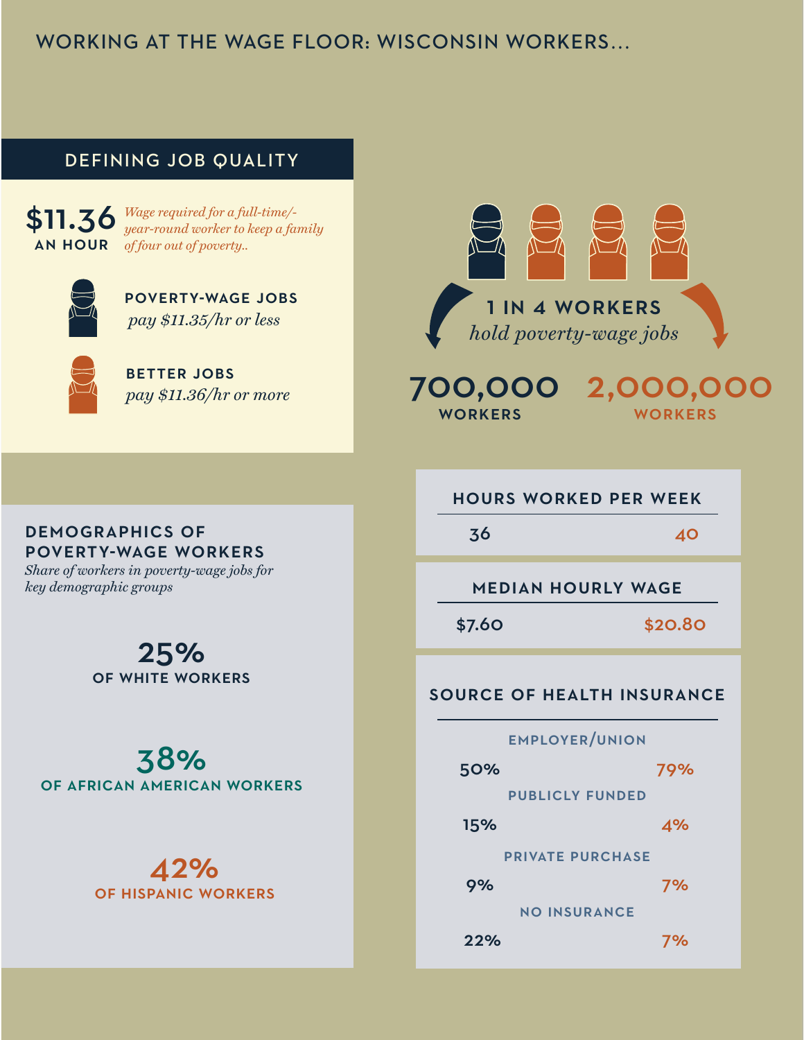# WORKING AT THE WAGE FLOOR: WISCONSIN WORKERS…

# **DEFINING JOB QUALITY**

\$11.36 *Wage required for a full-time/-* AN HOUR *of four out of poverty.. year-round worker to keep a family* 



POVERTY-WAGE JOBS  *pay \$11.35/hr or less*



BETTER JOBS *pay \$11.36/hr or more*



 700,000 2,000,000 **WORKERS WORKERS** 

# HOURS WORKED PER WEEK

36 40

MEDIAN HOURLY WAGE

\$7.60 \$20.80

# SOURCE OF HEALTH INSURANCE

# 50% 79% EMPLOYER/UNION 15% 4% PUBLICLY FUNDED 9% 7% PRIVATE PURCHASE

NO INSURANCE

22% 7%

# DEMOGRAPHICS OF POVERTY-WAGE WORKERS

*Share of workers in poverty-wage jobs for key demographic groups*

> 25% OF WHITE WORKERS

38% OF AFRICAN AMERICAN WORKERS

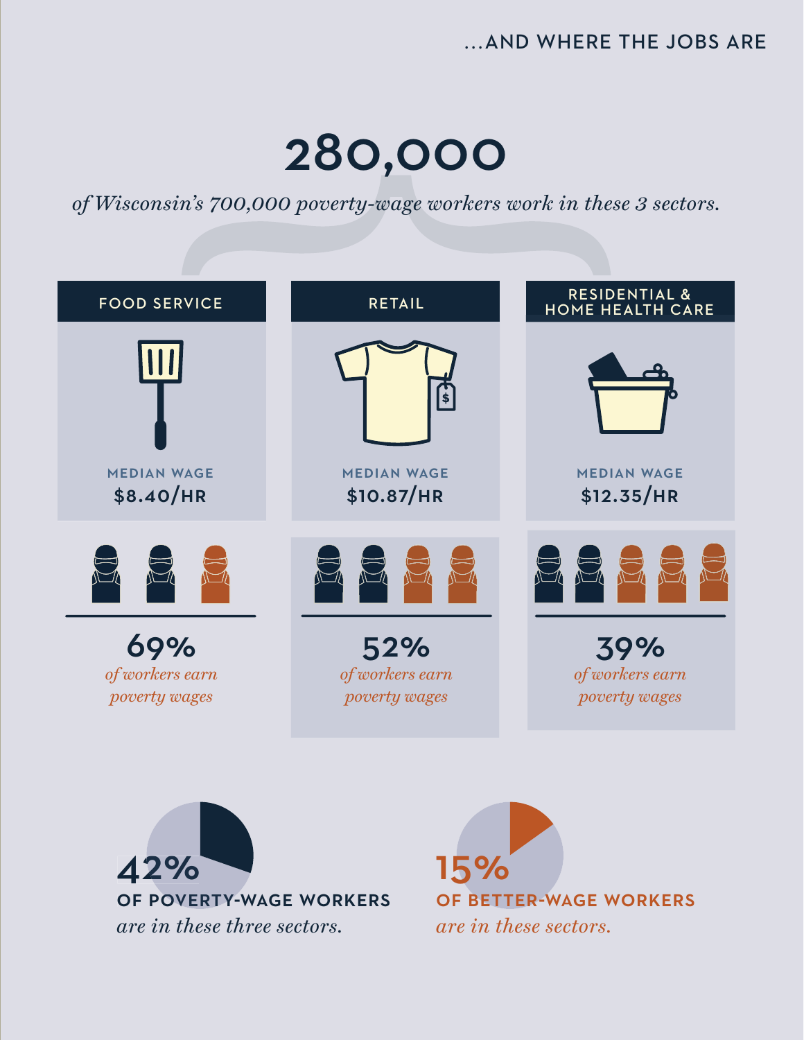# …AND WHERE THE JOBS ARE

# 280,000

*of Wisconsin's 700,000 poverty-wage workers work in these 3 sectors.*

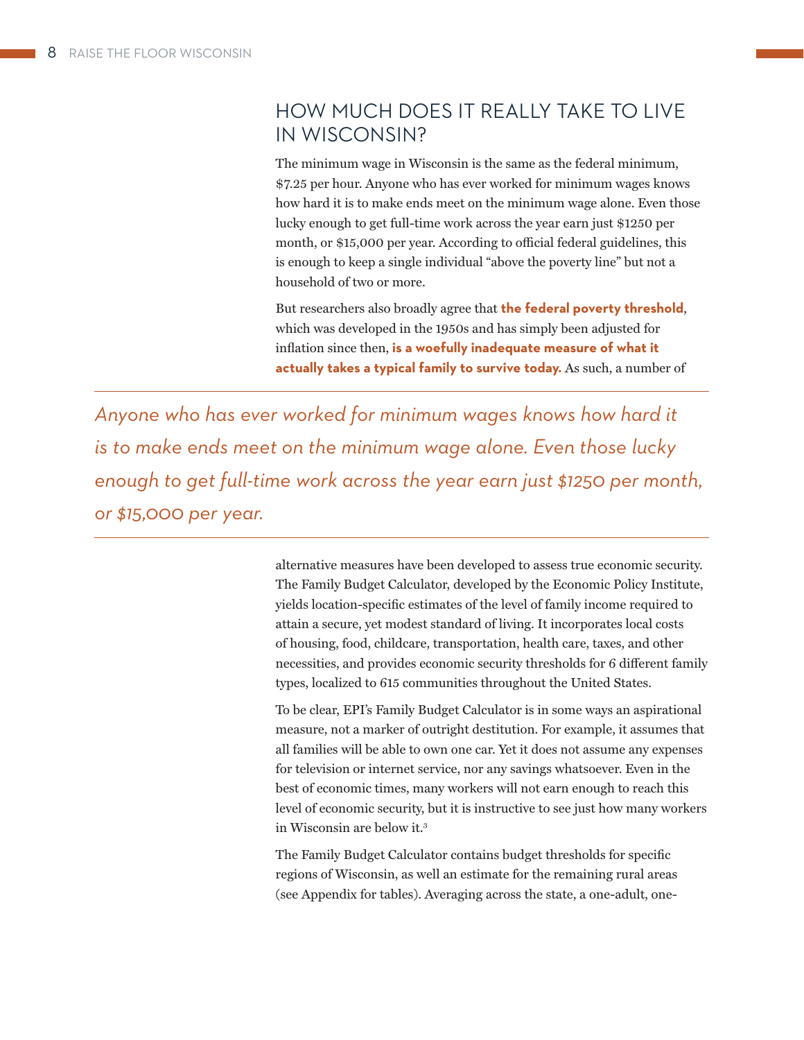# HOW MUCH DOES IT REALLY TAKE TO LIVE IN WISCONSIN?

The minimum wage in Wisconsin is the same as the federal minimum, \$7.25 per hour. Anyone who has ever worked for minimum wages knows how hard it is to make ends meet on the minimum wage alone. Even those lucky enough to get full-time work across the year earn just \$1250 per month, or \$15,000 per year. According to official federal guidelines, this is enough to keep a single individual "above the poverty line" but not a household of two or more.

But researchers also broadly agree that **the federal poverty threshold**, which was developed in the 1950s and has simply been adjusted for inflation since then, is a woefully inadequate measure of what it **actually takes a typical family to survive today.** As such, a number of

*Anyone who has ever worked for minimum wages knows how hard it is to make ends meet on the minimum wage alone. Even those lucky enough to get full-time work across the year earn just \$1250 per month, or \$15,000 per year.*

> alternative measures have been developed to assess true economic security. The Family Budget Calculator, developed by the Economic Policy Institute, yields location-specific estimates of the level of family income required to attain a secure, yet modest standard of living. It incorporates local costs of housing, food, childcare, transportation, health care, taxes, and other necessities, and provides economic security thresholds for 6 different family types, localized to 615 communities throughout the United States.

> To be clear, EPI's Family Budget Calculator is in some ways an aspirational measure, not a marker of outright destitution. For example, it assumes that all families will be able to own one car. Yet it does not assume any expenses for television or internet service, nor any savings whatsoever. Even in the best of economic times, many workers will not earn enough to reach this level of economic security, but it is instructive to see just how many workers in Wisconsin are below it.3

The Family Budget Calculator contains budget thresholds for specific regions of Wisconsin, as well an estimate for the remaining rural areas (see Appendix for tables). Averaging across the state, a one-adult, one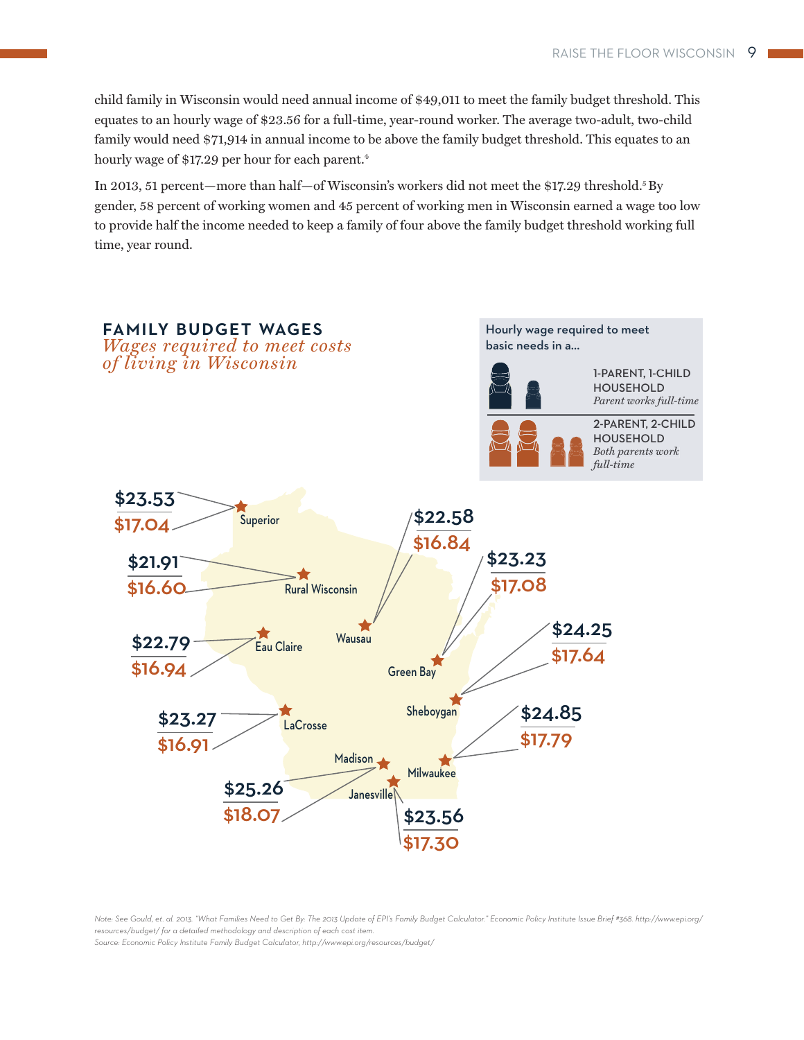child family in Wisconsin would need annual income of \$49,011 to meet the family budget threshold. This equates to an hourly wage of \$23.56 for a full-time, year-round worker. The average two-adult, two-child family would need \$71,914 in annual income to be above the family budget threshold. This equates to an hourly wage of \$17.29 per hour for each parent.<sup>4</sup>

In 2013, 51 percent—more than half—of Wisconsin's workers did not meet the \$17.29 threshold.5 By gender, 58 percent of working women and 45 percent of working men in Wisconsin earned a wage too low to provide half the income needed to keep a family of four above the family budget threshold working full time, year round.



*Note: See Gould, et. al. 2013. "What Families Need to Get By: The 2013 Update of EPI's Family Budget Calculator." Economic Policy Institute Issue Brief #368. http://www.epi.org/ resources/budget/ for a detailed methodology and description of each cost item.* 

*Source: Economic Policy Institute Family Budget Calculator, http://www.epi.org/resources/budget/*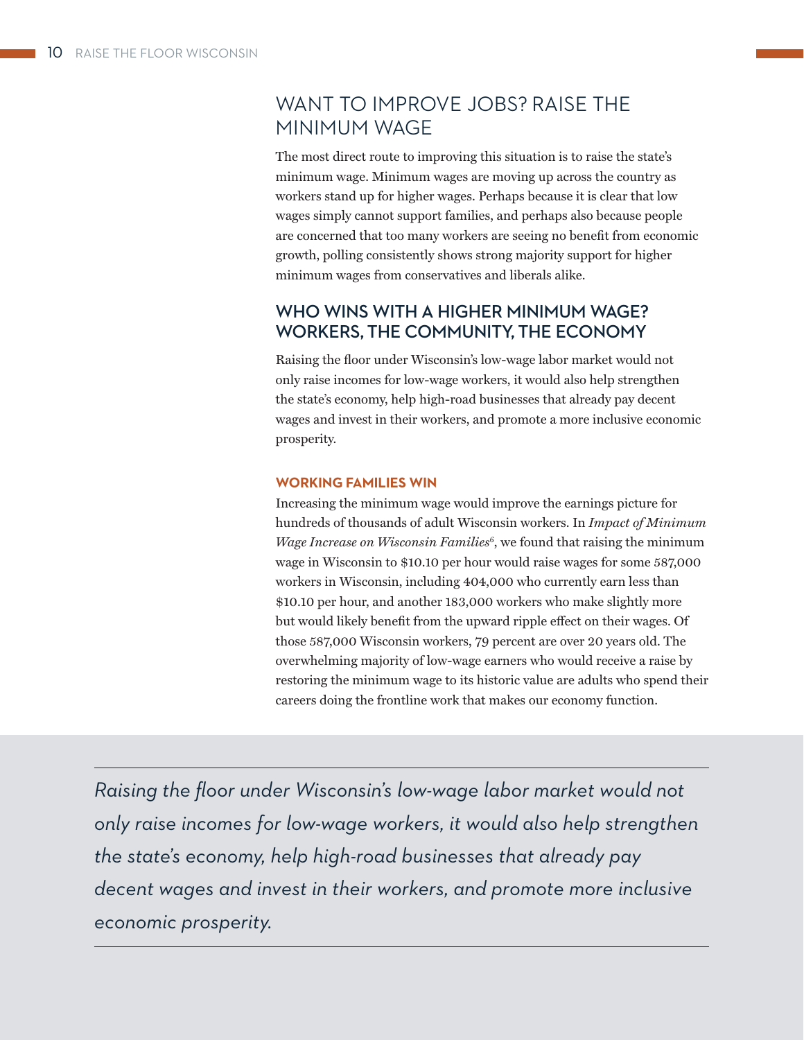# WANT TO IMPROVE JOBS? RAISE THE MINIMUM WAGE

The most direct route to improving this situation is to raise the state's minimum wage. Minimum wages are moving up across the country as workers stand up for higher wages. Perhaps because it is clear that low wages simply cannot support families, and perhaps also because people are concerned that too many workers are seeing no benefit from economic growth, polling consistently shows strong majority support for higher minimum wages from conservatives and liberals alike.

# **WHO WINS WITH A HIGHER MINIMUM WAGE? WORKERS, THE COMMUNITY, THE ECONOMY**

Raising the floor under Wisconsin's low-wage labor market would not only raise incomes for low-wage workers, it would also help strengthen the state's economy, help high-road businesses that already pay decent wages and invest in their workers, and promote a more inclusive economic prosperity.

# **WORKING FAMILIES WIN**

Increasing the minimum wage would improve the earnings picture for hundreds of thousands of adult Wisconsin workers. In *Impact of Minimum Wage Increase on Wisconsin Families*<sup>6</sup>, we found that raising the minimum wage in Wisconsin to \$10.10 per hour would raise wages for some 587,000 workers in Wisconsin, including 404,000 who currently earn less than \$10.10 per hour, and another 183,000 workers who make slightly more but would likely benefit from the upward ripple effect on their wages. Of those 587,000 Wisconsin workers, 79 percent are over 20 years old. The overwhelming majority of low-wage earners who would receive a raise by restoring the minimum wage to its historic value are adults who spend their careers doing the frontline work that makes our economy function.

*Raising the floor under Wisconsin's low-wage labor market would not only raise incomes for low-wage workers, it would also help strengthen the state's economy, help high-road businesses that already pay decent wages and invest in their workers, and promote more inclusive economic prosperity.*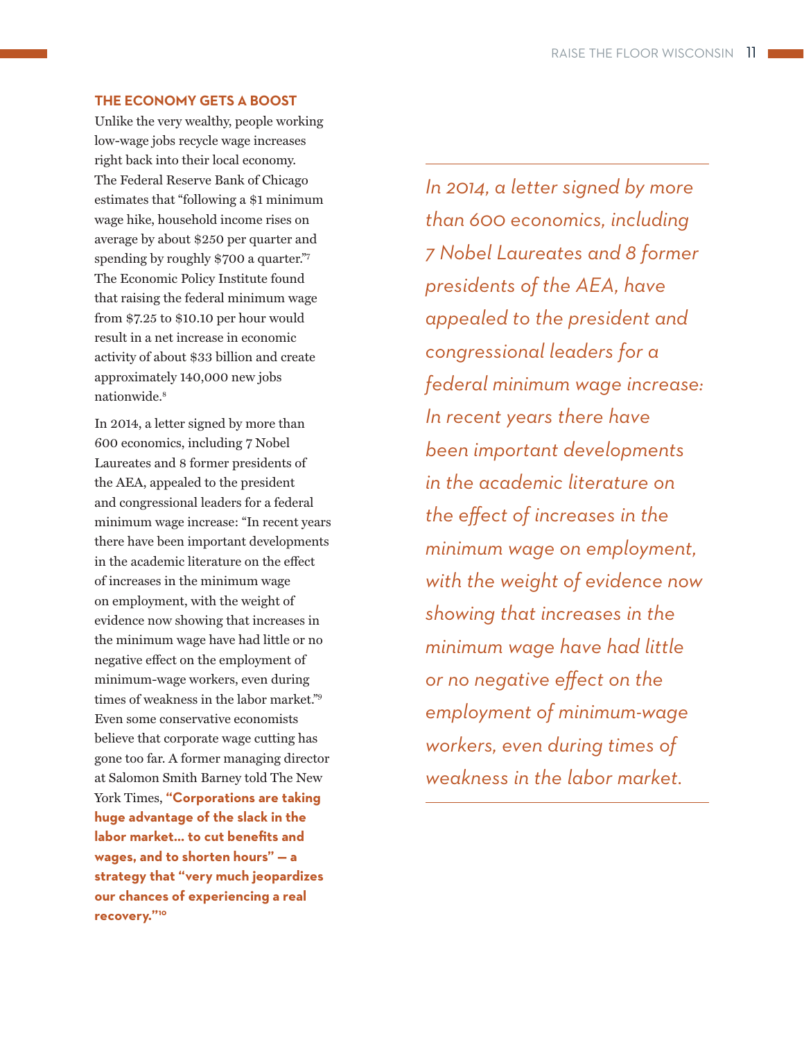# **THE ECONOMY GETS A BOOST**

Unlike the very wealthy, people working low-wage jobs recycle wage increases right back into their local economy. The Federal Reserve Bank of Chicago estimates that "following a \$1 minimum wage hike, household income rises on average by about \$250 per quarter and spending by roughly \$700 a quarter."7 The Economic Policy Institute found that raising the federal minimum wage from \$7.25 to \$10.10 per hour would result in a net increase in economic activity of about \$33 billion and create approximately 140,000 new jobs nationwide.8

In 2014, a letter signed by more than 600 economics, including 7 Nobel Laureates and 8 former presidents of the AEA, appealed to the president and congressional leaders for a federal minimum wage increase: "In recent years there have been important developments in the academic literature on the effect of increases in the minimum wage on employment, with the weight of evidence now showing that increases in the minimum wage have had little or no negative effect on the employment of minimum-wage workers, even during times of weakness in the labor market."9 Even some conservative economists believe that corporate wage cutting has gone too far. A former managing director at Salomon Smith Barney told The New York Times, **"Corporations are taking huge advantage of the slack in the**  labor market... to cut benefits and **wages, and to shorten hours" — a strategy that "very much jeopardizes our chances of experiencing a real recovery."10**

*In 2014, a letter signed by more than 600 economics, including 7 Nobel Laureates and 8 former presidents of the AEA, have appealed to the president and congressional leaders for a federal minimum wage increase: In recent years there have been important developments in the academic literature on the eff ect of increases in the minimum wage on employment, with the weight of evidence now showing that increases in the minimum wage have had little or no negative eff ect on the employment of minimum-wage workers, even during times of weakness in the labor market.*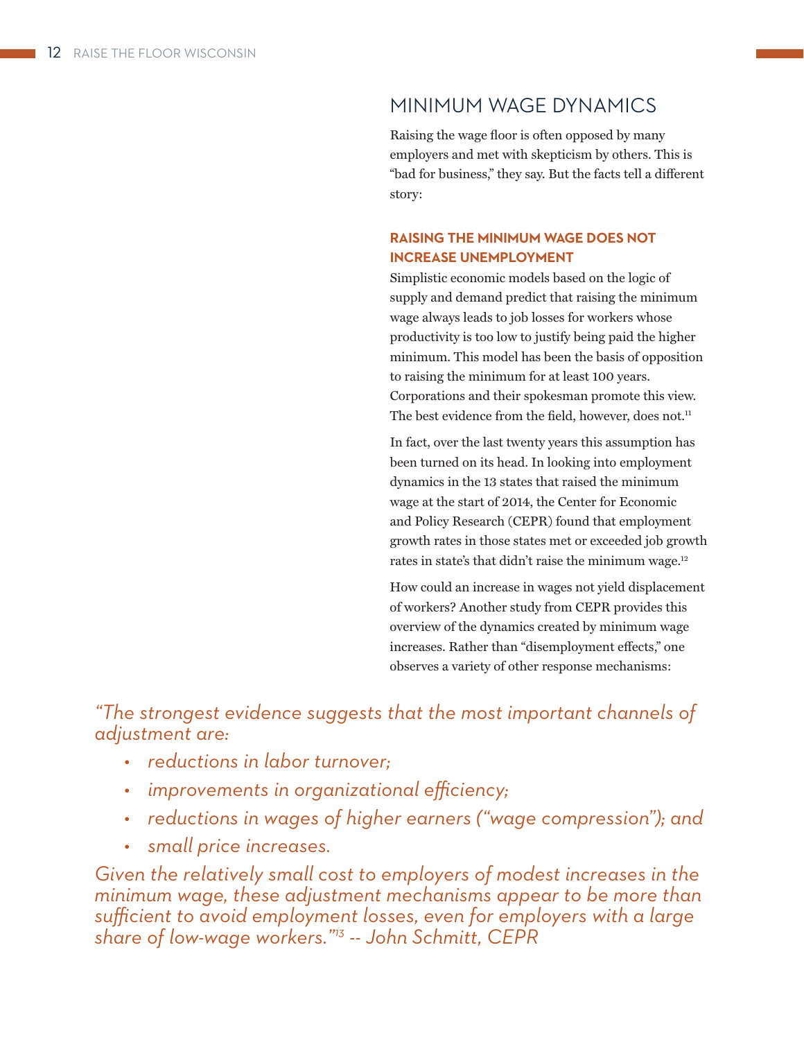# MINIMUM WAGE DYNAMICS

Raising the wage floor is often opposed by many employers and met with skepticism by others. This is "bad for business," they say. But the facts tell a different story:

# **RAISING THE MINIMUM WAGE DOES NOT INCREASE UNEMPLOYMENT**

Simplistic economic models based on the logic of supply and demand predict that raising the minimum wage always leads to job losses for workers whose productivity is too low to justify being paid the higher minimum. This model has been the basis of opposition to raising the minimum for at least 100 years. Corporations and their spokesman promote this view. The best evidence from the field, however, does not.<sup>11</sup>

In fact, over the last twenty years this assumption has been turned on its head. In looking into employment dynamics in the 13 states that raised the minimum wage at the start of 2014, the Center for Economic and Policy Research (CEPR) found that employment growth rates in those states met or exceeded job growth rates in state's that didn't raise the minimum wage.12

How could an increase in wages not yield displacement of workers? Another study from CEPR provides this overview of the dynamics created by minimum wage increases. Rather than "disemployment effects," one observes a variety of other response mechanisms:

*"The strongest evidence suggests that the most important channels of adjustment are:*

- *reductions in labor turnover;*
- $\cdot$  *improvements in organizational efficiency;*
- *reductions in wages of higher earners ("wage compression"); and*
- *small price increases.*

*Given the relatively small cost to employers of modest increases in the minimum wage, these adjustment mechanisms appear to be more than*  sufficient to avoid employment losses, even for employers with a large *share of low-wage workers."13 -- John Schmitt, CEPR*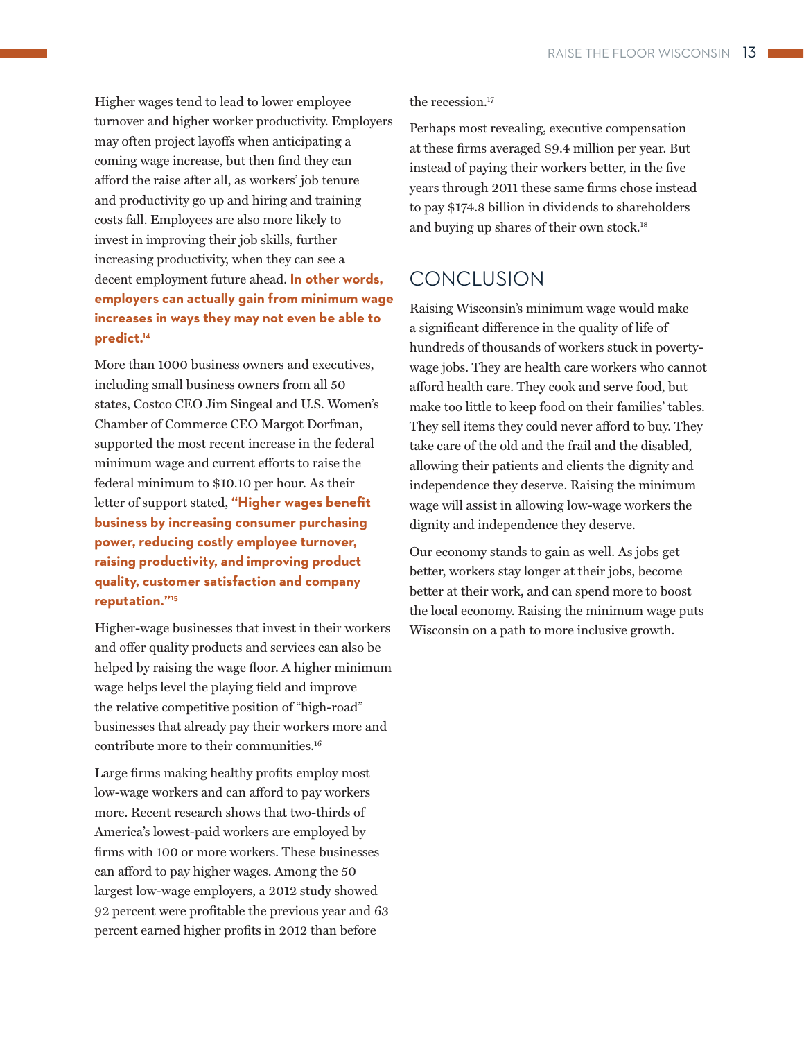Higher wages tend to lead to lower employee turnover and higher worker productivity. Employers may often project layoffs when anticipating a coming wage increase, but then find they can afford the raise after all, as workers' job tenure and productivity go up and hiring and training costs fall. Employees are also more likely to invest in improving their job skills, further increasing productivity, when they can see a decent employment future ahead. **In other words, employers can actually gain from minimum wage increases in ways they may not even be able to predict.14**

More than 1000 business owners and executives, including small business owners from all 50 states, Costco CEO Jim Singeal and U.S. Women's Chamber of Commerce CEO Margot Dorfman, supported the most recent increase in the federal minimum wage and current efforts to raise the federal minimum to \$10.10 per hour. As their letter of support stated, "Higher wages benefit **business by increasing consumer purchasing power, reducing costly employee turnover, raising productivity, and improving product quality, customer satisfaction and company reputation."15**

Higher-wage businesses that invest in their workers and offer quality products and services can also be helped by raising the wage floor. A higher minimum wage helps level the playing field and improve the relative competitive position of "high-road" businesses that already pay their workers more and contribute more to their communities.16

Large firms making healthy profits employ most low-wage workers and can afford to pay workers more. Recent research shows that two-thirds of America's lowest-paid workers are employed by firms with 100 or more workers. These businesses can afford to pay higher wages. Among the 50 largest low-wage employers, a 2012 study showed 92 percent were profitable the previous year and 63 percent earned higher profits in 2012 than before

the recession.<sup>17</sup>

Perhaps most revealing, executive compensation at these firms averaged \$9.4 million per year. But instead of paying their workers better, in the five years through 2011 these same firms chose instead to pay \$174.8 billion in dividends to shareholders and buying up shares of their own stock.<sup>18</sup>

# **CONCLUSION**

Raising Wisconsin's minimum wage would make a significant difference in the quality of life of hundreds of thousands of workers stuck in povertywage jobs. They are health care workers who cannot afford health care. They cook and serve food, but make too little to keep food on their families' tables. They sell items they could never afford to buy. They take care of the old and the frail and the disabled, allowing their patients and clients the dignity and independence they deserve. Raising the minimum wage will assist in allowing low-wage workers the dignity and independence they deserve.

Our economy stands to gain as well. As jobs get better, workers stay longer at their jobs, become better at their work, and can spend more to boost the local economy. Raising the minimum wage puts Wisconsin on a path to more inclusive growth.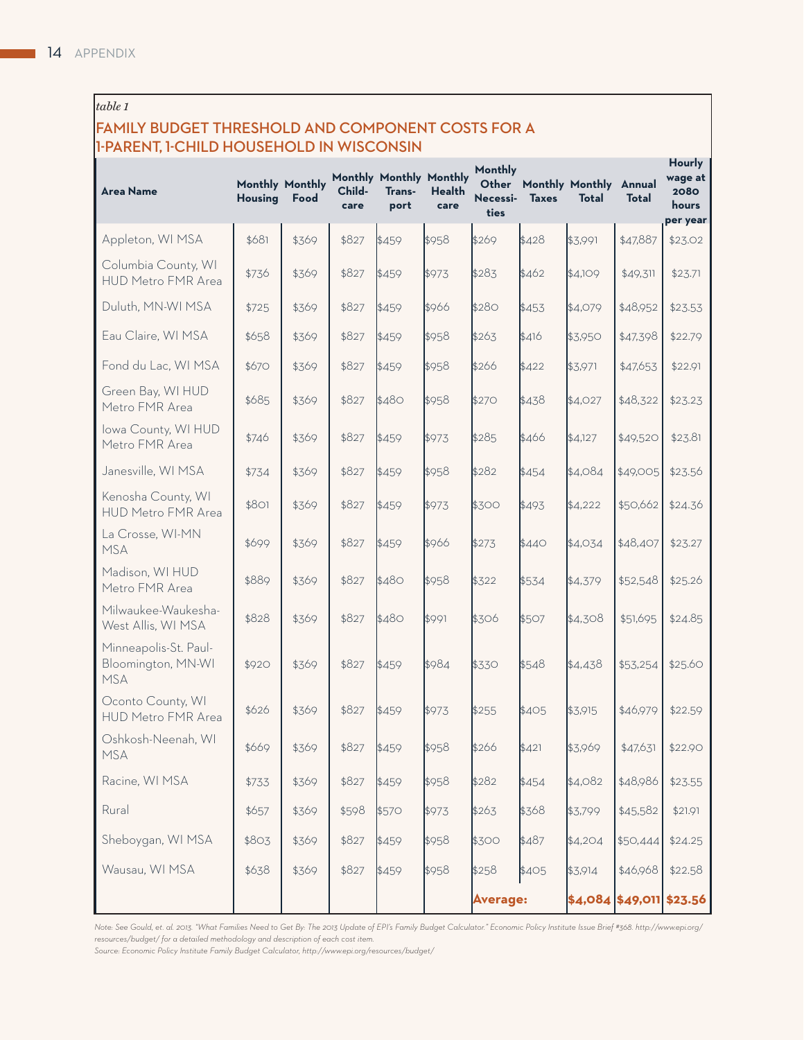# *table 1*

# **FAMILY BUDGET THRESHOLD AND COMPONENT COSTS FOR A 1-PARENT, 1-CHILD HOUSEHOLD IN WISCONSIN**

| <b>Area Name</b>                                          | <b>Housing</b> | Monthly Monthly<br>Food | Child-<br>care | Monthly Monthly Monthly<br>Trans-<br>port | <b>Health</b><br>care | Monthly<br>Necessi-<br>ties | <b>Taxes</b> | Other Monthly Monthly Annual<br><b>Total</b> | <b>Total</b>               | <b>Hourly</b><br>wage at<br>2080<br>hours<br>per year |
|-----------------------------------------------------------|----------------|-------------------------|----------------|-------------------------------------------|-----------------------|-----------------------------|--------------|----------------------------------------------|----------------------------|-------------------------------------------------------|
| Appleton, WI MSA                                          | \$681          | \$369                   | \$827          | \$459                                     | \$958                 | \$269                       | \$428        | \$3,991                                      | \$47,887                   | \$23.02                                               |
| Columbia County, WI<br>HUD Metro FMR Area                 | \$736          | \$369                   | \$827          | \$459                                     | \$973                 | \$283                       | \$462        | \$4,109                                      | \$49,311                   | \$23.71                                               |
| Duluth, MN-WI MSA                                         | \$725          | \$369                   | \$827          | \$459                                     | \$966                 | \$280                       | \$453        | \$4,079                                      | \$48,952                   | \$23.53                                               |
| Eau Claire, WI MSA                                        | \$658          | \$369                   | \$827          | \$459                                     | \$958                 | \$263                       | \$416        | \$3,950                                      | \$47,398                   | \$22.79                                               |
| Fond du Lac, WI MSA                                       | \$670          | \$369                   | \$827          | \$459                                     | \$958                 | \$266                       | \$422        | \$3,971                                      | \$47,653                   | \$22.91                                               |
| Green Bay, WI HUD<br>Metro FMR Area                       | \$685          | \$369                   | \$827          | \$480                                     | \$958                 | \$270                       | \$438        | \$4,027                                      | \$48,322                   | \$23.23                                               |
| Iowa County, WI HUD<br>Metro FMR Area                     | \$746          | \$369                   | \$827          | \$459                                     | \$973                 | \$285                       | \$466        | \$4,127                                      | \$49,520                   | \$23.81                                               |
| Janesville, WI MSA                                        | \$734          | \$369                   | \$827          | \$459                                     | \$958                 | \$282                       | \$454        | \$4,084                                      | \$49,005                   | \$23.56                                               |
| Kenosha County, WI<br>HUD Metro FMR Area                  | \$801          | \$369                   | \$827          | \$459                                     | \$973                 | \$300                       | \$493        | \$4,222                                      | \$50,662                   | \$24.36                                               |
| La Crosse, WI-MN<br><b>MSA</b>                            | \$699          | \$369                   | \$827          | \$459                                     | \$966                 | \$273                       | \$440        | \$4,034                                      | \$48,407                   | \$23.27                                               |
| Madison, WI HUD<br>Metro FMR Area                         | \$889          | \$369                   | \$827          | \$480                                     | \$958                 | \$322                       | \$534        | \$4,379                                      | \$52,548                   | \$25.26                                               |
| Milwaukee-Waukesha-<br>West Allis, WI MSA                 | \$828          | \$369                   | \$827          | \$480                                     | \$991                 | \$306                       | \$507        | \$4,308                                      | \$51,695                   | \$24.85                                               |
| Minneapolis-St. Paul-<br>Bloomington, MN-WI<br><b>MSA</b> | \$920          | \$369                   | \$827          | \$459                                     | \$984                 | \$330                       | \$548        | \$4,438                                      | \$53,254                   | \$25.60                                               |
| Oconto County, WI<br>HUD Metro FMR Area                   | \$626          | \$369                   | \$827          | \$459                                     | \$973                 | \$255                       | \$405        | \$3.915                                      | \$46,979                   | \$22.59                                               |
| Oshkosh-Neenah, WI<br><b>MSA</b>                          | \$669          | \$369                   | \$827          | \$459                                     | \$958                 | \$266                       | \$421        | \$3,969                                      | \$47,631                   | \$22.90                                               |
| Racine, WI MSA                                            | \$733          | \$369                   | \$827          | \$459                                     | \$958                 | \$282                       | \$454        | \$4,082                                      | \$48,986                   | \$23.55                                               |
| Rural                                                     | \$657          | \$369                   | \$598          | \$570                                     | \$973                 | \$263                       | \$368        | \$3,799                                      | \$45,582                   | \$21.91                                               |
| Sheboygan, WI MSA                                         | \$803          | \$369                   | \$827          | \$459                                     | \$958                 | \$300                       | \$487        | \$4,204                                      | \$50,444                   | \$24.25                                               |
| Wausau, WI MSA                                            | \$638          | \$369                   | \$827          | \$459                                     | \$958                 | \$258                       | \$405        | \$3,914                                      | \$46,968                   | \$22.58                                               |
|                                                           |                |                         |                |                                           |                       | <b>Average:</b>             |              |                                              | $ 4,084 $ \$49,011 \$23.56 |                                                       |

*Note: See Gould, et. al. 2013. "What Families Need to Get By: The 2013 Update of EPI's Family Budget Calculator." Economic Policy Institute Issue Brief #368. http://www.epi.org/ resources/budget/ for a detailed methodology and description of each cost item.* 

*Source: Economic Policy Institute Family Budget Calculator, http://www.epi.org/resources/budget/*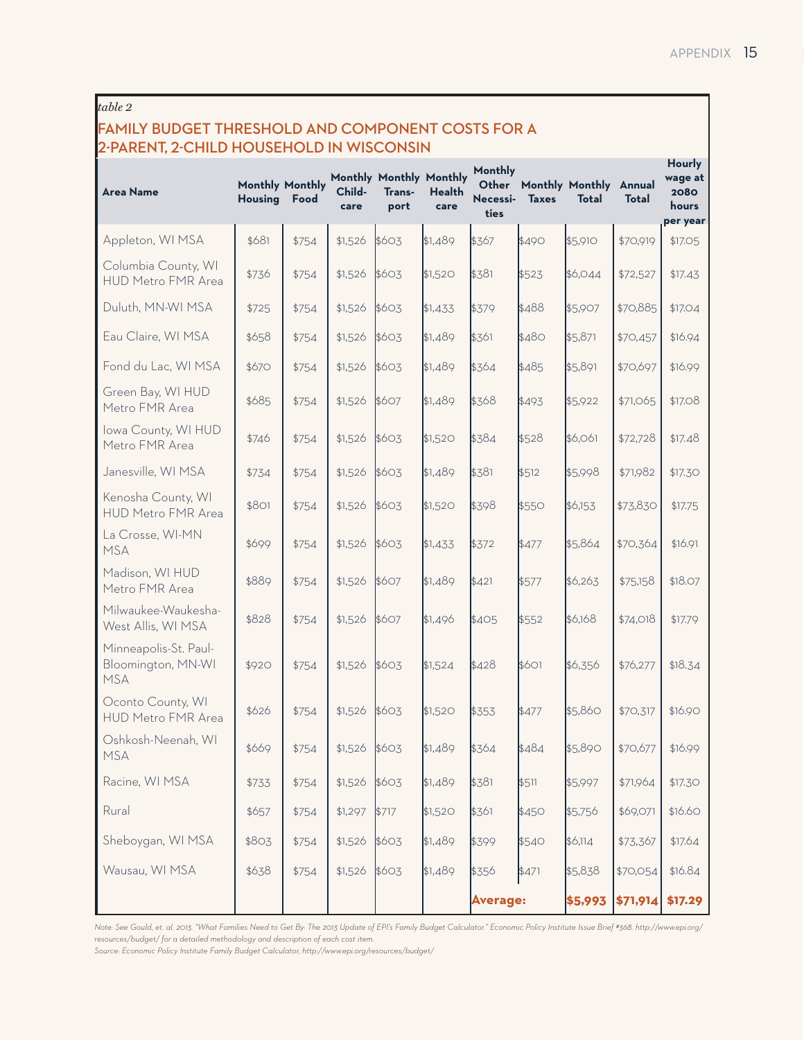# *table 2*

# **FAMILY BUDGET THRESHOLD AND COMPONENT COSTS FOR A 2-PARENT, 2-CHILD HOUSEHOLD IN WISCONSIN**

| <b>Area Name</b>                                          | <b>Monthly Monthly</b><br><b>Housing</b> | Food  | Child-<br>care | Monthly Monthly Monthly<br>Trans-<br>port | Health<br>care | Monthly<br>Other<br>Necessi-<br>ties | <b>Taxes</b> | Monthly Monthly Annual<br><b>Total</b> | Total    | Hourly<br>wage at<br>2080<br>hours<br>per year |
|-----------------------------------------------------------|------------------------------------------|-------|----------------|-------------------------------------------|----------------|--------------------------------------|--------------|----------------------------------------|----------|------------------------------------------------|
| Appleton, WI MSA                                          | \$681                                    | \$754 | \$1,526        | \$603                                     | \$1,489        | \$367                                | \$490        | \$5,910                                | \$70,919 | \$17.05                                        |
| Columbia County, WI<br><b>HUD Metro FMR Area</b>          | \$736                                    | \$754 | \$1,526        | \$603                                     | \$1,520        | \$381                                | \$523        | \$6,044                                | \$72,527 | \$17.43                                        |
| Duluth, MN-WI MSA                                         | \$725                                    | \$754 | \$1,526        | \$603                                     | \$1,433        | \$379                                | \$488        | \$5,907                                | \$70,885 | \$17.04                                        |
| Eau Claire, WI MSA                                        | \$658                                    | \$754 | \$1,526        | \$603                                     | \$1,489        | \$361                                | \$480        | \$5,871                                | \$70,457 | \$16.94                                        |
| Fond du Lac, WI MSA                                       | \$670                                    | \$754 | \$1,526        | \$603                                     | \$1,489        | \$364                                | \$485        | \$5,891                                | \$70,697 | \$16.99                                        |
| Green Bay, WI HUD<br>Metro FMR Area                       | \$685                                    | \$754 | \$1,526        | \$607                                     | \$1,489        | \$368                                | \$493        | \$5,922                                | \$71,065 | \$17.08                                        |
| Iowa County, WI HUD<br>Metro FMR Area                     | \$746                                    | \$754 | \$1,526        | \$603                                     | \$1,520        | \$384                                | \$528        | \$6,061                                | \$72,728 | \$17.48                                        |
| Janesville, WI MSA                                        | \$734                                    | \$754 | \$1,526        | \$603                                     | \$1,489        | \$381                                | \$512        | \$5,998                                | \$71,982 | \$17.30                                        |
| Kenosha County, WI<br><b>HUD Metro FMR Area</b>           | \$801                                    | \$754 | \$1,526        | \$603                                     | \$1,520        | \$398                                | \$550        | \$6,153                                | \$73,830 | \$17.75                                        |
| La Crosse, WI-MN<br><b>MSA</b>                            | \$699                                    | \$754 | \$1,526        | \$603                                     | \$1,433        | \$372                                | \$477        | \$5,864                                | \$70,364 | \$16.91                                        |
| Madison, WI HUD<br>Metro FMR Area                         | \$889                                    | \$754 | \$1,526        | \$607                                     | \$1,489        | \$421                                | \$577        | \$6,263                                | \$75,158 | \$18.07                                        |
| Milwaukee-Waukesha-<br>West Allis, WI MSA                 | \$828                                    | \$754 | \$1,526        | \$607                                     | \$1,496        | \$405                                | \$552        | \$6,168                                | \$74,018 | \$17.79                                        |
| Minneapolis-St. Paul-<br>Bloomington, MN-WI<br><b>MSA</b> | \$920                                    | \$754 | \$1,526        | \$603                                     | \$1,524        | \$428                                | \$601        | \$6,356                                | \$76,277 | \$18.34                                        |
| Oconto County, WI<br>HUD Metro FMR Area                   | \$626                                    | \$754 | \$1,526        | \$603                                     | \$1,520        | \$353                                | \$477        | \$5,860                                | \$70,317 | \$16.90                                        |
| Oshkosh-Neenah, WI<br><b>MSA</b>                          | \$669                                    | \$754 | \$1,526 \$603  |                                           | \$1,489        | \$364                                | \$484        | \$5,890                                | \$70,677 | \$16.99                                        |
| Racine, WI MSA                                            | \$733                                    | \$754 | \$1,526        | \$603                                     | \$1,489        | \$381                                | \$511        | \$5,997                                | \$71,964 | \$17.30                                        |
| Rural                                                     | \$657                                    | \$754 | \$1,297        | \$717                                     | \$1,520        | \$361                                | \$450        | \$5,756                                | \$69,071 | \$16.60                                        |
| Sheboygan, WI MSA                                         | \$803                                    | \$754 | \$1,526        | \$603                                     | \$1,489        | \$399                                | \$540        | \$6,114                                | \$73,367 | \$17.64                                        |
| Wausau, WI MSA                                            | \$638                                    | \$754 | \$1,526        | \$603                                     | \$1,489        | \$356                                | \$471        | \$5,838                                | \$70,054 | \$16.84                                        |
|                                                           |                                          |       |                |                                           |                | <b>Average:</b>                      |              | \$5,993                                | \$71,914 | \$17.29                                        |

*Note: See Gould, et. al. 2013. "What Families Need to Get By: The 2013 Update of EPI's Family Budget Calculator." Economic Policy Institute Issue Brief #368. http://www.epi.org/ resources/budget/ for a detailed methodology and description of each cost item.* 

*Source: Economic Policy Institute Family Budget Calculator, http://www.epi.org/resources/budget/*